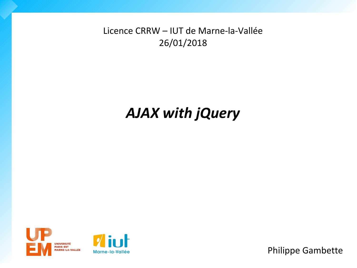Licence CRRW – IUT de Marne-la-Vallée 26/01/2018

# *AJAX with jQuery*





Philippe Gambette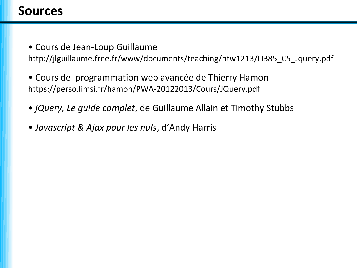### **Sources**

• Cours de Jean-Loup Guillaume

[http://jlguillaume.free.fr/www/documents/teaching/ntw1213/LI385\\_C5\\_Jquery.pdf](http://jlguillaume.free.fr/www/documents/teaching/ntw1213/LI385_C5_Jquery.pdf)

- Cours de programmation web avancée de Thierry Hamon <https://perso.limsi.fr/hamon/PWA-20122013/Cours/JQuery.pdf>
- *jQuery, Le guide complet*, de Guillaume Allain et Timothy Stubbs
- *Javascript & Ajax pour les nuls*, d'Andy Harris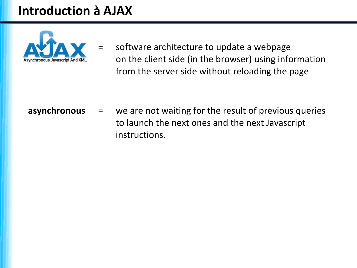# **Introduction à AJAX**



software architecture to update a webpage on the client side (in the browser) using information from the server side without reloading the page

**asynchronous** = we are not waiting for the result of previous queries to launch the next ones and the next Javascript instructions.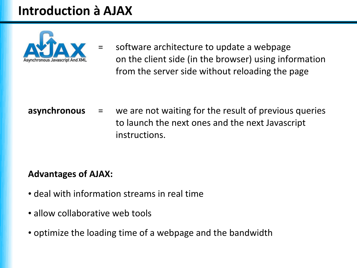# **Introduction à AJAX**



software architecture to update a webpage on the client side (in the browser) using information from the server side without reloading the page

**asynchronous** = we are not waiting for the result of previous queries to launch the next ones and the next Javascript instructions.

#### **Advantages of AJAX:**

- deal with information streams in real time
- allow collaborative web tools
- optimize the loading time of a webpage and the bandwidth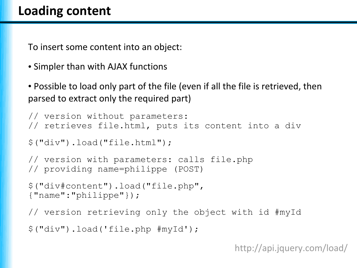To insert some content into an object:

• Simpler than with AJAX functions

• Possible to load only part of the file (even if all the file is retrieved, then parsed to extract only the required part)

```
// version without parameters:
// retrieves file.html, puts its content into a div
$("div").load("file.html");
// version with parameters: calls file.php
// providing name=philippe (POST)
$("div#content").load("file.php",
{"name":"philippe"});
// version retrieving only the object with id #myId
$("div").load('file.php #myId');
```
<http://api.jquery.com/load/>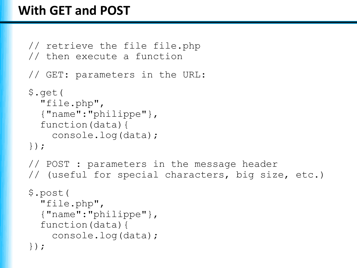## **With GET and POST**

```
// retrieve the file file.php
// then execute a function
// GET: parameters in the URL:
$.get(
   "file.php",
   {"name":"philippe"},
   function(data){
     console.log(data);
});
// POST : parameters in the message header
// (useful for special characters, big size, etc.)
$.post(
   "file.php",
   {"name":"philippe"},
   function(data){
     console.log(data);
});
```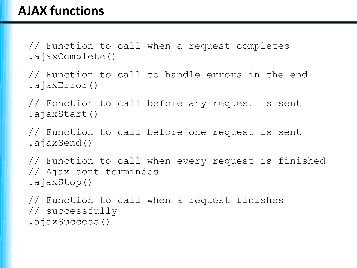// Function to call when a request completes .ajaxComplete()

// Function to call to handle errors in the end .ajaxError()

// Fonction to call before any request is sent .ajaxStart()

// Function to call before one request is sent .ajaxSend()

// Function to call when every request is finished // Ajax sont terminées .ajaxStop()

// Function to call when a request finishes // successfully .ajaxSuccess()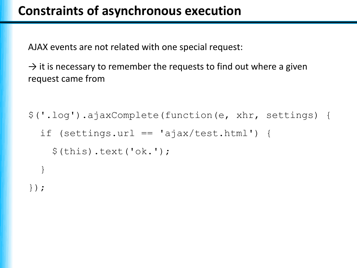### **Constraints of asynchronous execution**

AJAX events are not related with one special request:

 $\rightarrow$  it is necessary to remember the requests to find out where a given request came from

```
$('.log').ajaxComplete(function(e, xhr, settings) {
  if (settings.url == 'ajax/test.html') {
    $(this).text('ok.'); }
});
```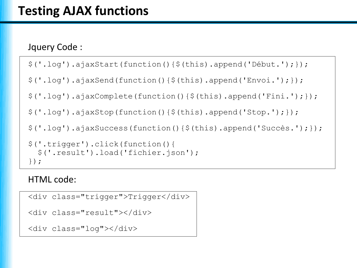#### Jquery Code :

```
$('.log').ajaxStart(function(){$(this).append('Début.');});
```

```
\frac{1}{2} ('.log').ajaxSend(function(){\frac{1}{2}(this).append('Envoi.');});
```

```
$('.log').ajaxComplete(function(){$(this).append('Fini.');});
```

```
$('.log').ajaxStop(function(){$(this).append('Stop.');});
```

```
$('.log').ajaxSuccess(function(){$(this).append('Succès.');});
```

```
$('.trigger').click(function(){
   $('.result').load('fichier.json');
});
```
#### HTML code:

```
<div class="trigger">Trigger</div>
<div class="result"></div>
<div class="log"></div>
```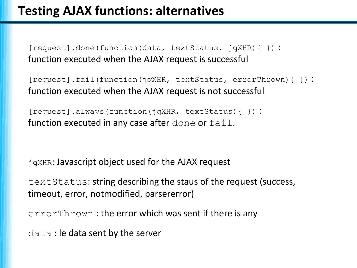[request].done(function(data, textStatus, jqXHR){ }) : function executed when the AJAX request is successful

[request].fail(function(jqXHR, textStatus, errorThrown){ }) : function executed when the AJAX request is not successful

[request].always(function(jqXHR, textStatus){ }) : function executed in any case after done or fail.

jqXHR: Javascript object used for the AJAX request

textStatus: string describing the staus of the request (success, timeout, error, notmodified, parsererror)

errorThrown : the error which was sent if there is any

data : le data sent by the server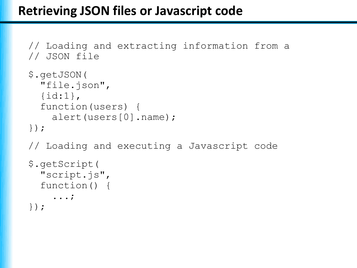### **Retrieving JSON files or Javascript code**

```
// Loading and extracting information from a 
// JSON file
$.getJSON(
   "file.json",
   {id:1},
   function(users) {
     alert(users[0].name);
});
// Loading and executing a Javascript code
$.getScript(
   "script.js",
   function() {
     ...;
});
```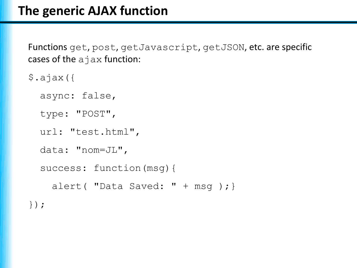Functions get, post, getJavascript, getJSON, etc. are specific cases of the ajax function:

- \$.ajax({
	- async: false,
	- type: "POST",
	- url: "test.html",
	- data: "nom=JL",

```
 success: function(msg){
```

```
alert( "Data Saved: " + msg ); }
```
});